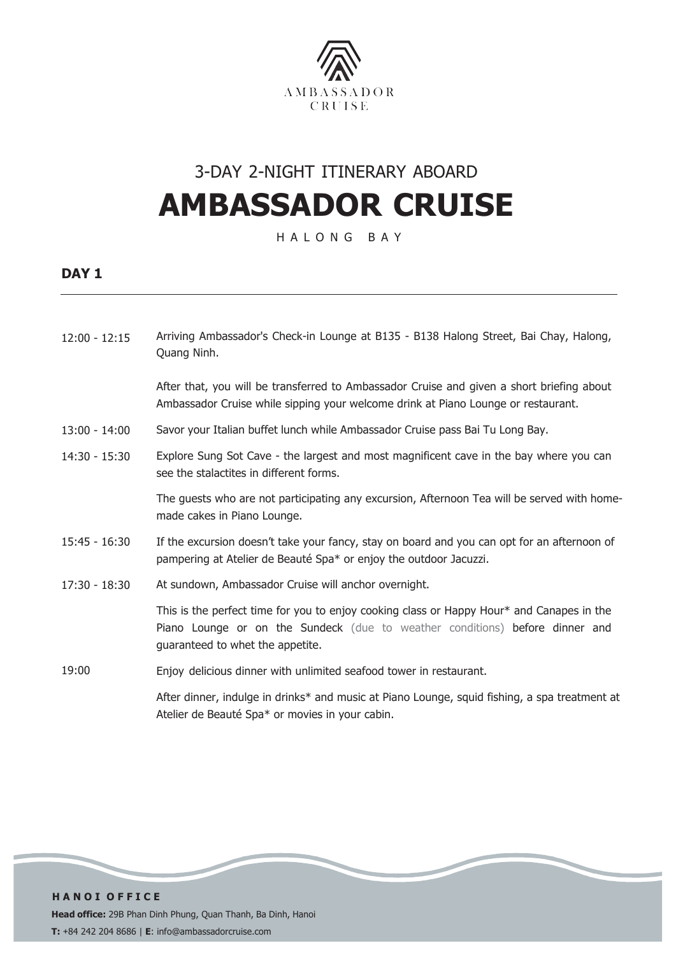

## 3-DAY 2-NIGHT ITINERARY ABOARD **AMBASSADOR CRUISE**

H A L O N G B A Y

### **DAY 1**

| $12:00 - 12:15$ | Arriving Ambassador's Check-in Lounge at B135 - B138 Halong Street, Bai Chay, Halong,<br>Quang Ninh.                                                                                                          |
|-----------------|---------------------------------------------------------------------------------------------------------------------------------------------------------------------------------------------------------------|
|                 | After that, you will be transferred to Ambassador Cruise and given a short briefing about<br>Ambassador Cruise while sipping your welcome drink at Piano Lounge or restaurant.                                |
| $13:00 - 14:00$ | Savor your Italian buffet lunch while Ambassador Cruise pass Bai Tu Long Bay.                                                                                                                                 |
| $14:30 - 15:30$ | Explore Sung Sot Cave - the largest and most magnificent cave in the bay where you can<br>see the stalactites in different forms.                                                                             |
|                 | The guests who are not participating any excursion, Afternoon Tea will be served with home-<br>made cakes in Piano Lounge.                                                                                    |
| $15:45 - 16:30$ | If the excursion doesn't take your fancy, stay on board and you can opt for an afternoon of<br>pampering at Atelier de Beauté Spa* or enjoy the outdoor Jacuzzi.                                              |
| $17:30 - 18:30$ | At sundown, Ambassador Cruise will anchor overnight.                                                                                                                                                          |
|                 | This is the perfect time for you to enjoy cooking class or Happy Hour* and Canapes in the<br>Piano Lounge or on the Sundeck (due to weather conditions) before dinner and<br>guaranteed to whet the appetite. |
| 19:00           | Enjoy delicious dinner with unlimited seafood tower in restaurant.                                                                                                                                            |
|                 | After dinner, indulge in drinks* and music at Piano Lounge, squid fishing, a spa treatment at                                                                                                                 |

Atelier de Beauté Spa\* or movies in your cabin.

**H A N O I O F F I C E Head office:** 29B Phan Dinh Phung, Quan Thanh, Ba Dinh, Hanoi **T:** +84 242 204 8686 | **E**: info@ambassadorcruise.com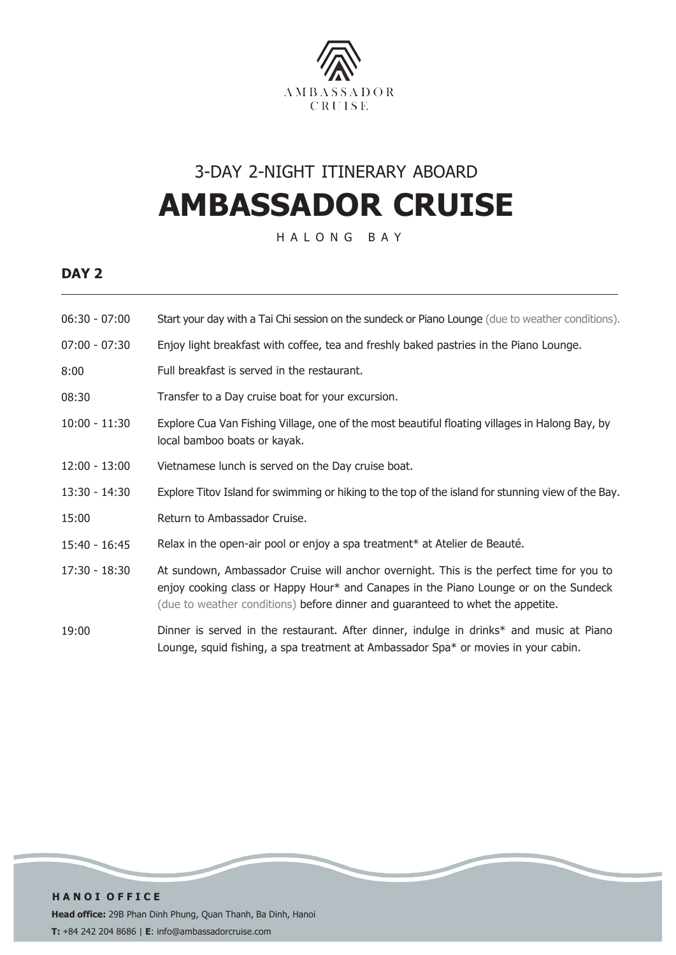

## 3-DAY 2-NIGHT ITINERARY ABOARD **AMBASSADOR CRUISE**

H A L O N G B A Y

### **DAY 2**

| $06:30 - 07:00$ | Start your day with a Tai Chi session on the sundeck or Piano Lounge (due to weather conditions).                                                                                                                                                                  |
|-----------------|--------------------------------------------------------------------------------------------------------------------------------------------------------------------------------------------------------------------------------------------------------------------|
| $07:00 - 07:30$ | Enjoy light breakfast with coffee, tea and freshly baked pastries in the Piano Lounge.                                                                                                                                                                             |
| 8:00            | Full breakfast is served in the restaurant.                                                                                                                                                                                                                        |
| 08:30           | Transfer to a Day cruise boat for your excursion.                                                                                                                                                                                                                  |
| $10:00 - 11:30$ | Explore Cua Van Fishing Village, one of the most beautiful floating villages in Halong Bay, by<br>local bamboo boats or kayak.                                                                                                                                     |
| $12:00 - 13:00$ | Vietnamese lunch is served on the Day cruise boat.                                                                                                                                                                                                                 |
| $13:30 - 14:30$ | Explore Titov Island for swimming or hiking to the top of the island for stunning view of the Bay.                                                                                                                                                                 |
| 15:00           | Return to Ambassador Cruise.                                                                                                                                                                                                                                       |
| 15:40 - 16:45   | Relax in the open-air pool or enjoy a spa treatment* at Atelier de Beauté.                                                                                                                                                                                         |
| 17:30 - 18:30   | At sundown, Ambassador Cruise will anchor overnight. This is the perfect time for you to<br>enjoy cooking class or Happy Hour* and Canapes in the Piano Lounge or on the Sundeck<br>(due to weather conditions) before dinner and guaranteed to whet the appetite. |
| 19:00           | Dinner is served in the restaurant. After dinner, indulge in drinks* and music at Piano<br>Lounge, squid fishing, a spa treatment at Ambassador Spa* or movies in your cabin.                                                                                      |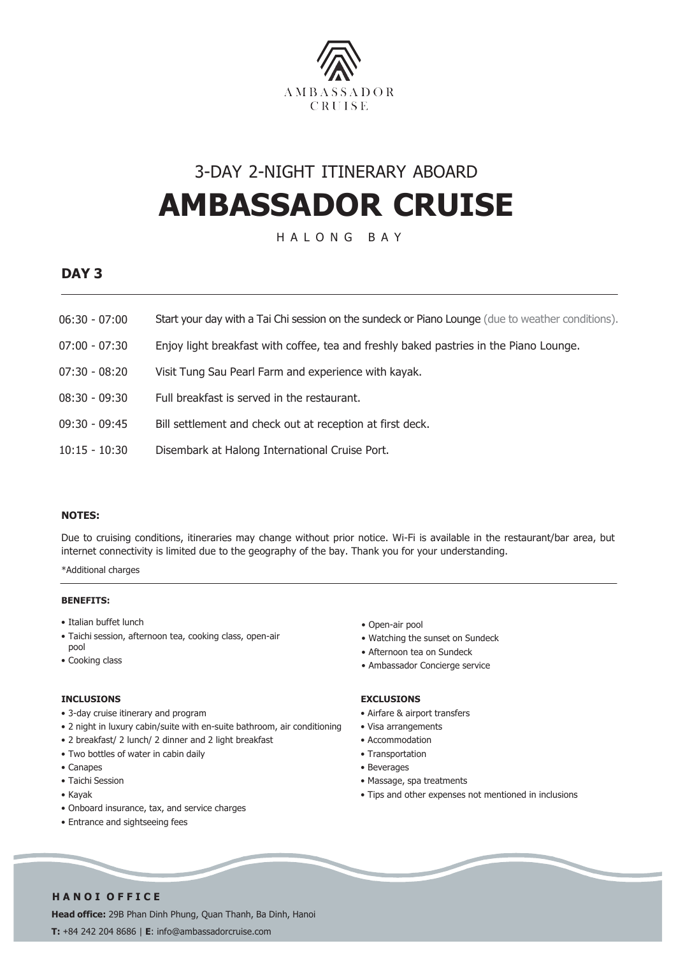

## 3-DAY 2-NIGHT ITINERARY ABOARD **AMBASSADOR CRUISE**

H A L O N G B A Y

### **DAY 3**

- 06:30 07:00 Start your day with a Tai Chi session on the sundeck or Piano Lounge (due to weather conditions).
- 07:00 07:30 Enjoy light breakfast with coffee, tea and freshly baked pastries in the Piano Lounge.
- 07:30 08:20 Visit Tung Sau Pearl Farm and experience with kayak.
- 08:30 09:30 Full breakfast is served in the restaurant.
- 09:30 09:45 Bill settlement and check out at reception at first deck.
- 10:15 10:30 Disembark at Halong International Cruise Port.

#### **NOTES:**

Due to cruising conditions, itineraries may change without prior notice. Wi-Fi is available in the restaurant/bar area, but internet connectivity is limited due to the geography of the bay. Thank you for your understanding.

\*Additional charges

#### **BENEFITS:**

- Italian buffet lunch
- Taichi session, afternoon tea, cooking class, open-air pool
- Cooking class

#### **INCLUSIONS**

- 3-day cruise itinerary and program
- 2 night in luxury cabin/suite with en-suite bathroom, air conditioning
- 2 breakfast/ 2 lunch/ 2 dinner and 2 light breakfast
- Two bottles of water in cabin daily
- Canapes
- Taichi Session
- Kayak
- Onboard insurance, tax, and service charges
- Entrance and sightseeing fees

• Open-air pool

- Watching the sunset on Sundeck
- Afternoon tea on Sundeck
- Ambassador Concierge service

#### **EXCLUSIONS**

- Airfare & airport transfers
- Visa arrangements
- Accommodation
- Transportation
- Beverages
- Massage, spa treatments
- Tips and other expenses not mentioned in inclusions

#### **H A N O I O F F I C E**

**Head office:** 29B Phan Dinh Phung, Quan Thanh, Ba Dinh, Hanoi **T:** +84 242 204 8686 | **E**: info@ambassadorcruise.com